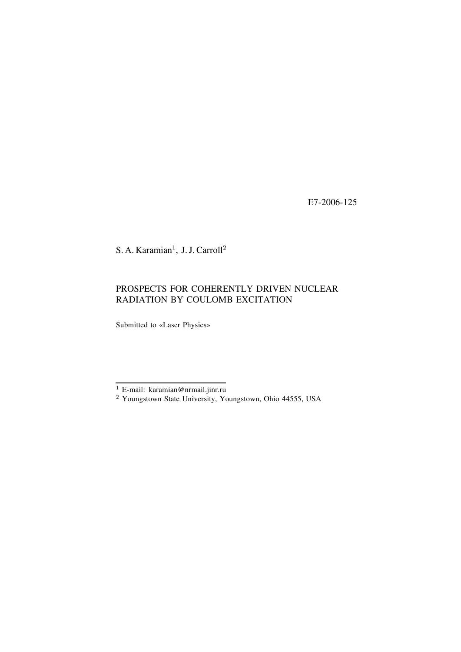E7-2006-125

S. A. Karamian<sup>1</sup>, J. J. Carroll<sup>2</sup>

# PROSPECTS FOR COHERENTLY DRIVEN NUCLEAR RADIATION BY COULOMB EXCITATION

Submitted to «Laser Physics»

<sup>&</sup>lt;sup>1</sup> E-mail: karamian@nrmail.jinr.ru

<sup>&</sup>lt;sup>2</sup> Youngstown State University, Youngstown, Ohio 44555, USA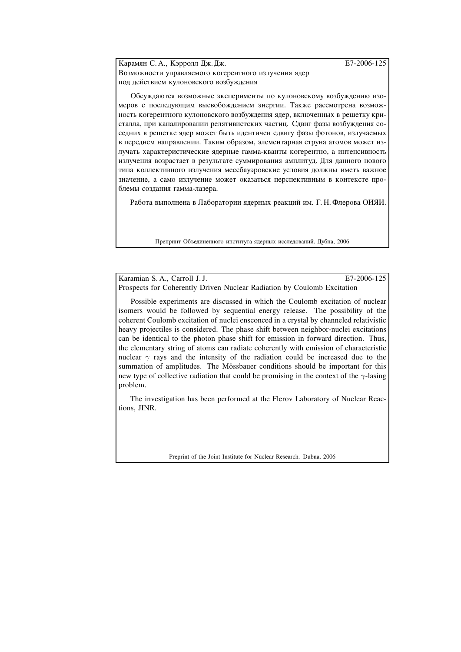Карамян С. А., Кэрролл Дж. Дж. **Фарантия** в тр. 2006-125 Возможности управляемого когерентного излучения ядер под действием кулоновского возбуждения

Обсуждаются возможные эксперименты по кулоновскому возбуждению изомеров с последующим высвобождением энергии. Также рассмотрена возможность когерентного кулоновского возбуждения ядер, включенных в решетку кристалла, при каналировании релятивистских частиц. Сдвиг фазы возбуждения соселних в решетке ялер может быть илентичен слвигу фазы фотонов, излучаемых в переднем направлении. Таким образом, элементарная струна атомов может излучать характеристические ядерные гамма-кванты когерентно, а интенсивность излучения возрастает в результате суммирования амплитуд. Для данного нового типа коллективного излучения мессбауэровские условия должны иметь важное значение, а само излучение может оказаться перспективным в контексте проблемы создания гамма-лазера.

Работа выполнена в Лаборатории ядерных реакций им. Г. Н. Флерова ОИЯИ.

Препринт Объединенного института ядерных исследований. Дубна, 2006

Karamian S. A., Carroll J. J. E7-2006-125

Prospects for Coherently Driven Nuclear Radiation by Coulomb Excitation

Possible experiments are discussed in which the Coulomb excitation of nuclear isomers would be followed by sequential energy release. The possibility of the coherent Coulomb excitation of nuclei ensconced in a crystal by channeled relativistic heavy projectiles is considered. The phase shift between neighbor-nuclei excitations can be identical to the photon phase shift for emission in forward direction. Thus, the elementary string of atoms can radiate coherently with emission of characteristic nuclear  $\gamma$  rays and the intensity of the radiation could be increased due to the summation of amplitudes. The Mössbauer conditions should be important for this new type of collective radiation that could be promising in the context of the  $\gamma$ -lasing problem.

The investigation has been performed at the Flerov Laboratory of Nuclear Reactions, JINR.

Preprint of the Joint Institute for Nuclear Research. Dubna, 2006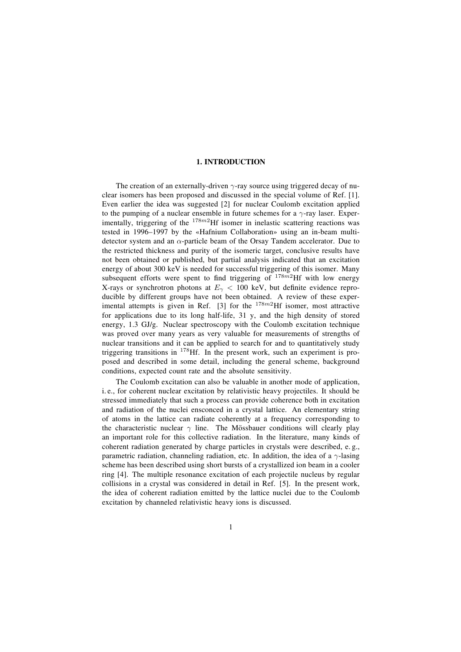## **1. INTRODUCTION**

The creation of an externally-driven  $\gamma$ -ray source using triggered decay of nuclear isomers has been proposed and discussed in the special volume of Ref. [1]. Even earlier the idea was suggested [2] for nuclear Coulomb excitation applied to the pumping of a nuclear ensemble in future schemes for a  $\gamma$ -ray laser. Experimentally, triggering of the  $178m^2$ Hf isomer in inelastic scattering reactions was tested in 1996–1997 by the «Hafnium Collaboration» using an in-beam multidetector system and an  $\alpha$ -particle beam of the Orsay Tandem accelerator. Due to the restricted thickness and purity of the isomeric target, conclusive results have not been obtained or published, but partial analysis indicated that an excitation energy of about 300 keV is needed for successful triggering of this isomer. Many subsequent efforts were spent to find triggering of  $178m^2$ Hf with low energy X-rays or synchrotron photons at  $E<sub>\gamma</sub> < 100$  keV, but definite evidence reproducible by different groups have not been obtained. A review of these experimental attempts is given in Ref. [3] for the  $178m^2$ Hf isomer, most attractive for applications due to its long half-life, 31 y, and the high density of stored energy, 1.3 GJ/g. Nuclear spectroscopy with the Coulomb excitation technique was proved over many years as very valuable for measurements of strengths of nuclear transitions and it can be applied to search for and to quantitatively study triggering transitions in <sup>178</sup>Hf. In the present work, such an experiment is proposed and described in some detail, including the general scheme, background conditions, expected count rate and the absolute sensitivity.

The Coulomb excitation can also be valuable in another mode of application, i. e., for coherent nuclear excitation by relativistic heavy projectiles. It should be stressed immediately that such a process can provide coherence both in excitation and radiation of the nuclei ensconced in a crystal lattice. An elementary string of atoms in the lattice can radiate coherently at a frequency corresponding to the characteristic nuclear  $\gamma$  line. The Mössbauer conditions will clearly play an important role for this collective radiation. In the literature, many kinds of coherent radiation generated by charge particles in crystals were described, e. g., parametric radiation, channeling radiation, etc. In addition, the idea of a  $\gamma$ -lasing scheme has been described using short bursts of a crystallized ion beam in a cooler ring [4]. The multiple resonance excitation of each projectile nucleus by regular collisions in a crystal was considered in detail in Ref. [5]. In the present work, the idea of coherent radiation emitted by the lattice nuclei due to the Coulomb excitation by channeled relativistic heavy ions is discussed.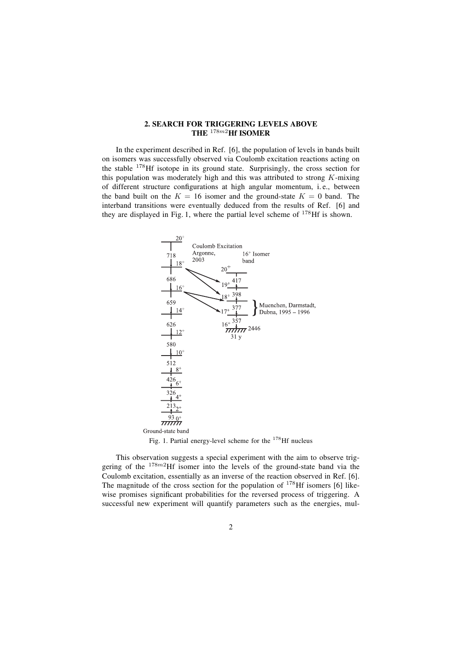### **2. SEARCH FOR TRIGGERING LEVELS ABOVE THE** <sup>178</sup>m2**Hf ISOMER**

In the experiment described in Ref. [6], the population of levels in bands built on isomers was successfully observed via Coulomb excitation reactions acting on the stable <sup>178</sup>Hf isotope in its ground state. Surprisingly, the cross section for this population was moderately high and this was attributed to strong  $K$ -mixing of different structure configurations at high angular momentum, i.e., between the band built on the  $K = 16$  isomer and the ground-state  $K = 0$  band. The interband transitions were eventually deduced from the results of Ref. [6] and they are displayed in Fig. 1, where the partial level scheme of  $178$  Hf is shown.



Fig. 1. Partial energy-level scheme for the <sup>178</sup>Hf nucleus

This observation suggests a special experiment with the aim to observe triggering of the  $178m^2$ Hf isomer into the levels of the ground-state band via the Coulomb excitation, essentially as an inverse of the reaction observed in Ref. [6]. The magnitude of the cross section for the population of  $178$  Hf isomers [6] likewise promises significant probabilities for the reversed process of triggering. A successful new experiment will quantify parameters such as the energies, mul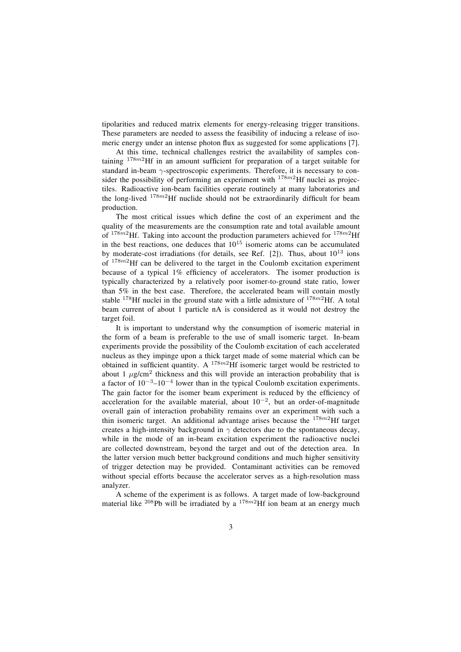tipolarities and reduced matrix elements for energy-releasing trigger transitions. These parameters are needed to assess the feasibility of inducing a release of isomeric energy under an intense photon flux as suggested for some applications [7].

At this time, technical challenges restrict the availability of samples containing  $178m^2$ Hf in an amount sufficient for preparation of a target suitable for standard in-beam  $\gamma$ -spectroscopic experiments. Therefore, it is necessary to consider the possibility of performing an experiment with  $178m^2$ Hf nuclei as projectiles. Radioactive ion-beam facilities operate routinely at many laboratories and the long-lived  $178m^2$ Hf nuclide should not be extraordinarily difficult for beam production.

The most critical issues which define the cost of an experiment and the quality of the measurements are the consumption rate and total available amount of  $178m^2$ Hf. Taking into account the production parameters achieved for  $178m^2$ Hf in the best reactions, one deduces that  $10^{15}$  isomeric atoms can be accumulated by moderate-cost irradiations (for details, see Ref. [2]). Thus, about  $10^{13}$  ions of  $178m^2$ Hf can be delivered to the target in the Coulomb excitation experiment because of a typical 1% efficiency of accelerators. The isomer production is typically characterized by a relatively poor isomer-to-ground state ratio, lower than 5% in the best case. Therefore, the accelerated beam will contain mostly stable <sup>178</sup>Hf nuclei in the ground state with a little admixture of  $178m^2$ Hf. A total beam current of about 1 particle nA is considered as it would not destroy the target foil.

It is important to understand why the consumption of isomeric material in the form of a beam is preferable to the use of small isomeric target. In-beam experiments provide the possibility of the Coulomb excitation of each accelerated nucleus as they impinge upon a thick target made of some material which can be obtained in sufficient quantity. A  $178m^2$ Hf isomeric target would be restricted to about 1  $\mu$ g/cm<sup>2</sup> thickness and this will provide an interaction probability that is a factor of  $10^{-3}$ – $10^{-4}$  lower than in the typical Coulomb excitation experiments. The gain factor for the isomer beam experiment is reduced by the efficiency of acceleration for the available material, about  $10^{-2}$ , but an order-of-magnitude overall gain of interaction probability remains over an experiment with such a thin isomeric target. An additional advantage arises because the  $178m^2$ Hf target creates a high-intensity background in  $\gamma$  detectors due to the spontaneous decay, while in the mode of an in-beam excitation experiment the radioactive nuclei are collected downstream, beyond the target and out of the detection area. In the latter version much better background conditions and much higher sensitivity of trigger detection may be provided. Contaminant activities can be removed without special efforts because the accelerator serves as a high-resolution mass analyzer.

A scheme of the experiment is as follows. A target made of low-background material like  $^{208}$ Pb will be irradiated by a  $^{178m2}$ Hf ion beam at an energy much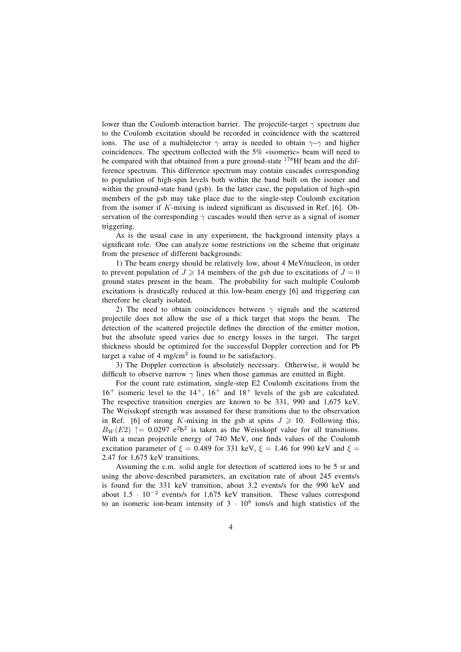lower than the Coulomb interaction barrier. The projectile-target  $\gamma$  spectrum due to the Coulomb excitation should be recorded in coincidence with the scattered ions. The use of a multidetector  $\gamma$  array is needed to obtain  $\gamma-\gamma$  and higher coincidences. The spectrum collected with the  $5\%$  «isomeric» beam will need to be compared with that obtained from a pure ground-state  $178$  Hf beam and the difference spectrum. This difference spectrum may contain cascades corresponding to population of high-spin levels both within the band built on the isomer and within the ground-state band (gsb). In the latter case, the population of high-spin members of the gsb may take place due to the single-step Coulomb excitation from the isomer if  $K$ -mixing is indeed significant as discussed in Ref. [6]. Observation of the corresponding  $\gamma$  cascades would then serve as a signal of isomer triggering.

As is the usual case in any experiment, the background intensity plays a significant role. One can analyze some restrictions on the scheme that originate from the presence of different backgrounds:

1) The beam energy should be relatively low, about 4 MeV/nucleon, in order to prevent population of  $J \ge 14$  members of the gsb due to excitations of  $J = 0$ ground states present in the beam. The probability for such multiple Coulomb excitations is drastically reduced at this low-beam energy [6] and triggering can therefore be clearly isolated.

2) The need to obtain coincidences between  $\gamma$  signals and the scattered projectile does not allow the use of a thick target that stops the beam. The detection of the scattered projectile defines the direction of the emitter motion, but the absolute speed varies due to energy losses in the target. The target thickness should be optimized for the successful Doppler correction and for Pb target a value of 4 mg/cm<sup>2</sup> is found to be satisfactory.

3) The Doppler correction is absolutely necessary. Otherwise, it would be difficult to observe narrow  $\gamma$  lines when those gammas are emitted in flight.

For the count rate estimation, single-step E2 Coulomb excitations from the  $16^+$  isomeric level to the  $14^+$ ,  $16^+$  and  $18^+$  levels of the gsb are calculated. The respective transition energies are known to be 331, 990 and 1,675 keV. The Weisskopf strength was assumed for these transitions due to the observation in Ref. [6] of strong K-mixing in the gsb at spins  $J \geq 10$ . Following this,  $B_W(E2)$   $\uparrow$  = 0.0297 e<sup>2</sup>b<sup>2</sup> is taken as the Weisskopf value for all transitions. With a mean projectile energy of 740 MeV, one finds values of the Coulomb excitation parameter of  $\xi = 0.489$  for 331 keV,  $\xi = 1.46$  for 990 keV and  $\xi =$ 2.47 for 1,675 keV transitions.

Assuming the c.m. solid angle for detection of scattered ions to be 5 sr and using the above-described parameters, an excitation rate of about 245 events/s is found for the 331 keV transition, about 3.2 events/s for the 990 keV and about 1.5 · <sup>10</sup>−<sup>2</sup> events/s for 1,675 keV transition. These values correspond to an isomeric ion-beam intensity of  $3 \cdot 10^8$  ions/s and high statistics of the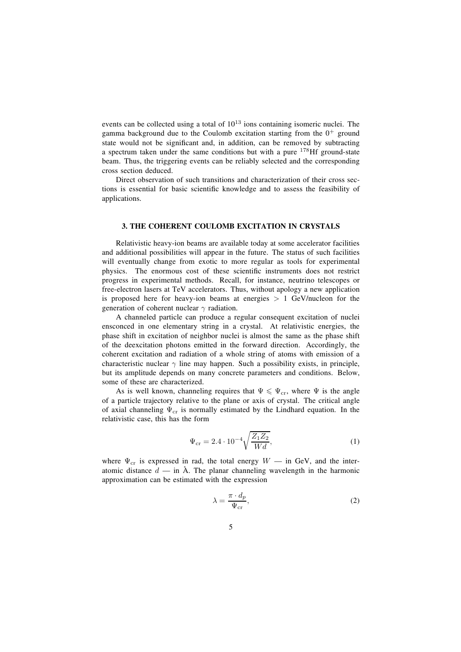events can be collected using a total of  $10^{13}$  ions containing isomeric nuclei. The gamma background due to the Coulomb excitation starting from the  $0^+$  ground state would not be significant and, in addition, can be removed by subtracting a spectrum taken under the same conditions but with a pure  $178$  Hf ground-state beam. Thus, the triggering events can be reliably selected and the corresponding cross section deduced.

Direct observation of such transitions and characterization of their cross sections is essential for basic scientific knowledge and to assess the feasibility of applications.

## **3. THE COHERENT COULOMB EXCITATION IN CRYSTALS**

Relativistic heavy-ion beams are available today at some accelerator facilities and additional possibilities will appear in the future. The status of such facilities will eventually change from exotic to more regular as tools for experimental physics. The enormous cost of these scientific instruments does not restrict progress in experimental methods. Recall, for instance, neutrino telescopes or free-electron lasers at TeV accelerators. Thus, without apology a new application is proposed here for heavy-ion beams at energies  $> 1$  GeV/nucleon for the generation of coherent nuclear  $\gamma$  radiation.

A channeled particle can produce a regular consequent excitation of nuclei ensconced in one elementary string in a crystal. At relativistic energies, the phase shift in excitation of neighbor nuclei is almost the same as the phase shift of the deexcitation photons emitted in the forward direction. Accordingly, the coherent excitation and radiation of a whole string of atoms with emission of a characteristic nuclear  $\gamma$  line may happen. Such a possibility exists, in principle, but its amplitude depends on many concrete parameters and conditions. Below, some of these are characterized.

As is well known, channeling requires that  $\Psi \leq \Psi_{cr}$ , where  $\Psi$  is the angle of a particle trajectory relative to the plane or axis of crystal. The critical angle of axial channeling  $\Psi_{cr}$  is normally estimated by the Lindhard equation. In the relativistic case, this has the form

$$
\Psi_{\rm cr} = 2.4 \cdot 10^{-4} \sqrt{\frac{Z_1 Z_2}{Wd}},\tag{1}
$$

where  $\Psi_{\text{cr}}$  is expressed in rad, the total energy  $W -$  in GeV, and the interatomic distance  $d$  — in  $\AA$ . The planar channeling wavelength in the harmonic approximation can be estimated with the expression

$$
\lambda = \frac{\pi \cdot d_p}{\Psi_{\rm cr}},\tag{2}
$$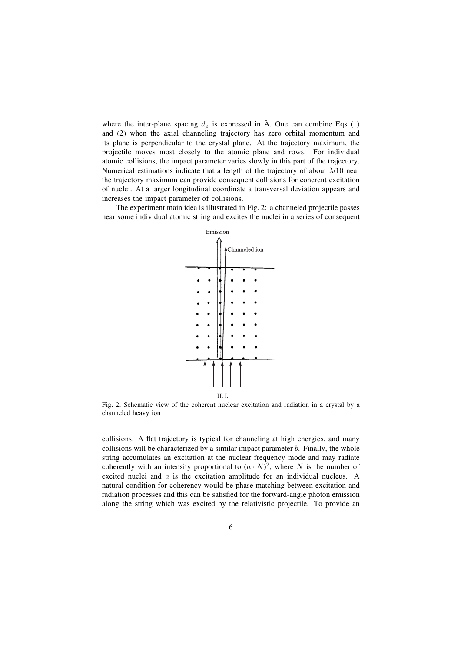where the inter-plane spacing  $d_p$  is expressed in  $\hat{A}$ . One can combine Eqs. (1) and (2) when the axial channeling trajectory has zero orbital momentum and its plane is perpendicular to the crystal plane. At the trajectory maximum, the projectile moves most closely to the atomic plane and rows. For individual atomic collisions, the impact parameter varies slowly in this part of the trajectory. Numerical estimations indicate that a length of the trajectory of about  $\lambda/10$  near the trajectory maximum can provide consequent collisions for coherent excitation of nuclei. At a larger longitudinal coordinate a transversal deviation appears and increases the impact parameter of collisions.

The experiment main idea is illustrated in Fig. 2: a channeled projectile passes near some individual atomic string and excites the nuclei in a series of consequent



Fig. 2. Schematic view of the coherent nuclear excitation and radiation in a crystal by a channeled heavy ion

collisions. A flat trajectory is typical for channeling at high energies, and many collisions will be characterized by a similar impact parameter  $b$ . Finally, the whole string accumulates an excitation at the nuclear frequency mode and may radiate coherently with an intensity proportional to  $(a \cdot N)^2$ , where N is the number of excited nuclei and a is the excitation amplitude for an individual nucleus. A natural condition for coherency would be phase matching between excitation and radiation processes and this can be satisfied for the forward-angle photon emission along the string which was excited by the relativistic projectile. To provide an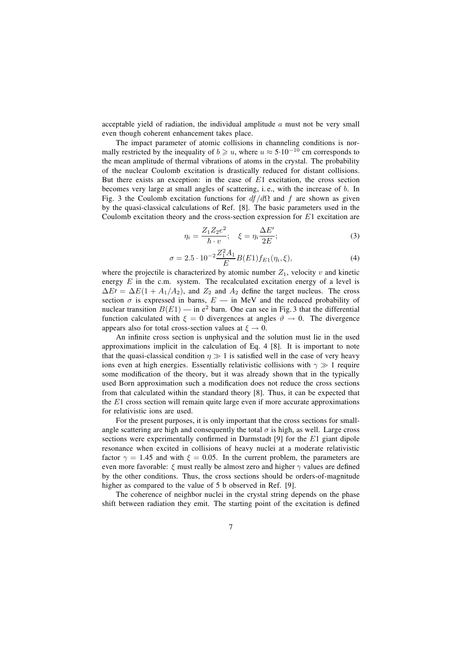acceptable yield of radiation, the individual amplitude  $a$  must not be very small even though coherent enhancement takes place.

The impact parameter of atomic collisions in channeling conditions is normally restricted by the inequality of  $b \geq u$ , where  $u \approx 5.10^{-10}$  cm corresponds to the mean amplitude of thermal vibrations of atoms in the crystal. The probability of the nuclear Coulomb excitation is drastically reduced for distant collisions. But there exists an exception: in the case of  $E1$  excitation, the cross section becomes very large at small angles of scattering, i. e., with the increase of b. In Fig. 3 the Coulomb excitation functions for  $df/d\Omega$  and f are shown as given by the quasi-classical calculations of Ref. [8]. The basic parameters used in the Coulomb excitation theory and the cross-section expression for  $E1$  excitation are

$$
\eta_i = \frac{Z_1 Z_2 e^2}{\hbar \cdot v}; \quad \xi = \eta_i \frac{\Delta E'}{2E};\tag{3}
$$

$$
\sigma = 2.5 \cdot 10^{-2} \frac{Z_1^2 A_1}{E} B(E1) f_{E1}(\eta_i, \xi), \tag{4}
$$

where the projectile is characterized by atomic number  $Z_1$ , velocity v and kinetic energy  $E$  in the c.m. system. The recalculated excitation energy of a level is  $\Delta E' = \Delta E(1 + A_1/A_2)$ , and  $Z_2$  and  $A_2$  define the target nucleus. The cross section  $\sigma$  is expressed in barns,  $E$  – in MeV and the reduced probability of nuclear transition  $B(E1)$  — in e<sup>2</sup> barn. One can see in Fig. 3 that the differential function calculated with  $\xi = 0$  divergences at angles  $\vartheta \to 0$ . The divergence appears also for total cross-section values at  $\xi \to 0$ .

An infinite cross section is unphysical and the solution must lie in the used approximations implicit in the calculation of Eq. 4 [8]. It is important to note that the quasi-classical condition  $\eta \gg 1$  is satisfied well in the case of very heavy ions even at high energies. Essentially relativistic collisions with  $\gamma \gg 1$  require some modification of the theory, but it was already shown that in the typically used Born approximation such a modification does not reduce the cross sections from that calculated within the standard theory [8]. Thus, it can be expected that the  $E1$  cross section will remain quite large even if more accurate approximations for relativistic ions are used.

For the present purposes, it is only important that the cross sections for smallangle scattering are high and consequently the total  $\sigma$  is high, as well. Large cross sections were experimentally confirmed in Darmstadt [9] for the  $E1$  giant dipole resonance when excited in collisions of heavy nuclei at a moderate relativistic factor  $\gamma = 1.45$  and with  $\xi = 0.05$ . In the current problem, the parameters are even more favorable:  $\xi$  must really be almost zero and higher  $\gamma$  values are defined by the other conditions. Thus, the cross sections should be orders-of-magnitude higher as compared to the value of 5 b observed in Ref. [9].

The coherence of neighbor nuclei in the crystal string depends on the phase shift between radiation they emit. The starting point of the excitation is defined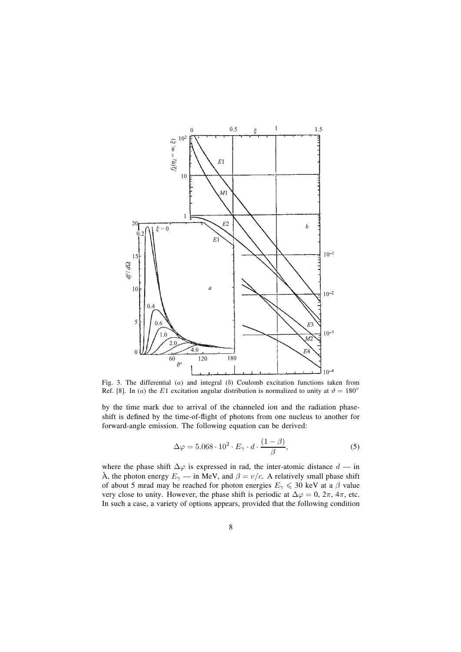

Fig. 3. The differential (a) and integral (b) Coulomb excitation functions taken from Ref. [8]. In (a) the E1 excitation angular distribution is normalized to unity at  $\vartheta = 180^\circ$ 

by the time mark due to arrival of the channeled ion and the radiation phaseshift is defined by the time-of-flight of photons from one nucleus to another for forward-angle emission. The following equation can be derived:

$$
\Delta \varphi = 5.068 \cdot 10^2 \cdot E_\gamma \cdot d \cdot \frac{(1 - \beta)}{\beta},\tag{5}
$$

where the phase shift  $\Delta\varphi$  is expressed in rad, the inter-atomic distance  $d$  — in Å, the photon energy  $E_{\gamma}$  — in MeV, and  $\beta = v/c$ . A relatively small phase shift of about 5 mrad may be reached for photon energies  $E_{\gamma} \le 30$  keV at a  $\beta$  value very close to unity. However, the phase shift is periodic at  $\Delta \varphi = 0$ ,  $2\pi$ ,  $4\pi$ , etc. In such a case, a variety of options appears, provided that the following condition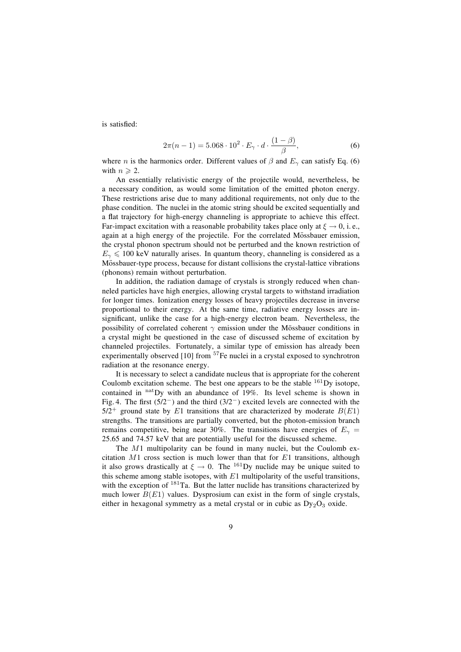is satisfied:

$$
2\pi(n-1) = 5.068 \cdot 10^2 \cdot E_\gamma \cdot d \cdot \frac{(1-\beta)}{\beta},\tag{6}
$$

where *n* is the harmonics order. Different values of  $\beta$  and  $E_{\gamma}$  can satisfy Eq. (6) with  $n \geqslant 2$ .

An essentially relativistic energy of the projectile would, nevertheless, be a necessary condition, as would some limitation of the emitted photon energy. These restrictions arise due to many additional requirements, not only due to the phase condition. The nuclei in the atomic string should be excited sequentially and a at trajectory for high-energy channeling is appropriate to achieve this effect. Far-impact excitation with a reasonable probability takes place only at  $\xi \to 0$ , i.e., again at a high energy of the projectile. For the correlated Mössbauer emission, the crystal phonon spectrum should not be perturbed and the known restriction of  $E_{\gamma} \leq 100$  keV naturally arises. In quantum theory, channeling is considered as a Mössbauer-type process, because for distant collisions the crystal-lattice vibrations (phonons) remain without perturbation.

In addition, the radiation damage of crystals is strongly reduced when channeled particles have high energies, allowing crystal targets to withstand irradiation for longer times. Ionization energy losses of heavy projectiles decrease in inverse proportional to their energy. At the same time, radiative energy losses are insignificant, unlike the case for a high-energy electron beam. Nevertheless, the possibility of correlated coherent  $\gamma$  emission under the Mössbauer conditions in a crystal might be questioned in the case of discussed scheme of excitation by channeled projectiles. Fortunately, a similar type of emission has already been experimentally observed [10] from <sup>57</sup>Fe nuclei in a crystal exposed to synchrotron radiation at the resonance energy.

It is necessary to select a candidate nucleus that is appropriate for the coherent Coulomb excitation scheme. The best one appears to be the stable  $^{161}$ Dy isotope, contained in  $\frac{\text{nat}}{\text{Dy}}$  with an abundance of 19%. Its level scheme is shown in Fig. 4. The first ( $5/2^-$ ) and the third ( $3/2^-$ ) excited levels are connected with the  $5/2^+$  ground state by E1 transitions that are characterized by moderate  $B(E1)$ strengths. The transitions are partially converted, but the photon-emission branch remains competitive, being near 30%. The transitions have energies of  $E<sub>gamma</sub>$ 25.65 and 74.57 keV that are potentially useful for the discussed scheme.

The M1 multipolarity can be found in many nuclei, but the Coulomb excitation  $M1$  cross section is much lower than that for  $E1$  transitions, although it also grows drastically at  $\xi \to 0$ . The <sup>161</sup>Dy nuclide may be unique suited to this scheme among stable isotopes, with  $E1$  multipolarity of the useful transitions, with the exception of <sup>181</sup>Ta. But the latter nuclide has transitions characterized by much lower  $B(E1)$  values. Dysprosium can exist in the form of single crystals, either in hexagonal symmetry as a metal crystal or in cubic as  $Dy_2O_3$  oxide.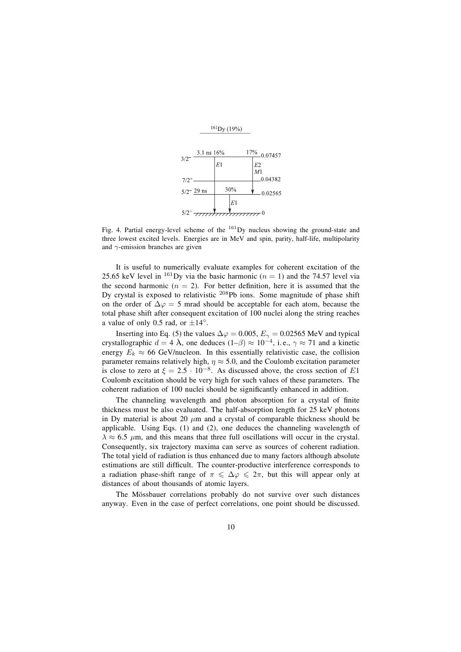

Fig. 4. Partial energy-level scheme of the  $^{161}$ Dy nucleus showing the ground-state and three lowest excited levels. Energies are in MeV and spin, parity, half-life, multipolarity and  $\gamma$ -emission branches are given

It is useful to numerically evaluate examples for coherent excitation of the 25.65 keV level in <sup>161</sup>Dy via the basic harmonic ( $n = 1$ ) and the 74.57 level via the second harmonic ( $n = 2$ ). For better definition, here it is assumed that the Dy crystal is exposed to relativistic  $208Pb$  ions. Some magnitude of phase shift on the order of  $\Delta\varphi = 5$  mrad should be acceptable for each atom, because the total phase shift after consequent excitation of 100 nuclei along the string reaches a value of only 0.5 rad, or  $\pm 14^\circ$ .

Inserting into Eq. (5) the values  $\Delta \varphi = 0.005$ ,  $E_{\gamma} = 0.02565$  MeV and typical crystallographic  $d = 4$  Å, one deduces  $(1-\beta) \approx 10^{-4}$ , i.e.,  $\gamma \approx 71$  and a kinetic energy  $E_k \approx 66$  GeV/nucleon. In this essentially relativistic case, the collision parameter remains relatively high,  $\eta \approx 5.0$ , and the Coulomb excitation parameter is close to zero at  $\xi = 2.5 \cdot 10^{-8}$ . As discussed above, the cross section of E1 Coulomb excitation should be very high for such values of these parameters. The coherent radiation of 100 nuclei should be significantly enhanced in addition.

The channeling wavelength and photon absorption for a crystal of finite thickness must be also evaluated. The half-absorption length for 25 keV photons in Dy material is about 20  $\mu$ m and a crystal of comparable thickness should be applicable. Using Eqs. (1) and (2), one deduces the channeling wavelength of  $\lambda \approx 6.5$  μm, and this means that three full oscillations will occur in the crystal. Consequently, six trajectory maxima can serve as sources of coherent radiation. The total yield of radiation is thus enhanced due to many factors although absolute estimations are still difficult. The counter-productive interference corresponds to a radiation phase-shift range of  $\pi \leq \Delta \varphi \leq 2\pi$ , but this will appear only at distances of about thousands of atomic layers.

The Mössbauer correlations probably do not survive over such distances anyway. Even in the case of perfect correlations, one point should be discussed.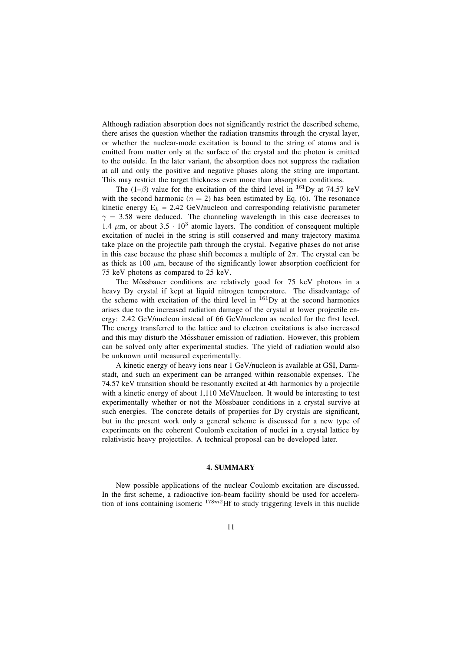Although radiation absorption does not significantly restrict the described scheme, there arises the question whether the radiation transmits through the crystal layer, or whether the nuclear-mode excitation is bound to the string of atoms and is emitted from matter only at the surface of the crystal and the photon is emitted to the outside. In the later variant, the absorption does not suppress the radiation at all and only the positive and negative phases along the string are important. This may restrict the target thickness even more than absorption conditions.

The (1– $\beta$ ) value for the excitation of the third level in <sup>161</sup>Dy at 74.57 keV with the second harmonic ( $n = 2$ ) has been estimated by Eq. (6). The resonance kinetic energy  $E_k = 2.42$  GeV/nucleon and corresponding relativistic parameter  $\gamma = 3.58$  were deduced. The channeling wavelength in this case decreases to 1.4  $\mu$ m, or about 3.5 · 10<sup>3</sup> atomic layers. The condition of consequent multiple excitation of nuclei in the string is still conserved and many trajectory maxima take place on the projectile path through the crystal. Negative phases do not arise in this case because the phase shift becomes a multiple of  $2\pi$ . The crystal can be as thick as 100  $\mu$ m, because of the significantly lower absorption coefficient for 75 keV photons as compared to 25 keV.

The Mössbauer conditions are relatively good for 75 keV photons in a heavy Dy crystal if kept at liquid nitrogen temperature. The disadvantage of the scheme with excitation of the third level in  $^{161}$ Dy at the second harmonics arises due to the increased radiation damage of the crystal at lower projectile energy: 2.42 GeV/nucleon instead of 66 GeV/nucleon as needed for the first level. The energy transferred to the lattice and to electron excitations is also increased and this may disturb the Mössbauer emission of radiation. However, this problem can be solved only after experimental studies. The yield of radiation would also be unknown until measured experimentally.

A kinetic energy of heavy ions near 1 GeV/nucleon is available at GSI, Darmstadt, and such an experiment can be arranged within reasonable expenses. The 74.57 keV transition should be resonantly excited at 4th harmonics by a projectile with a kinetic energy of about 1,110 MeV/nucleon. It would be interesting to test experimentally whether or not the Méossbauer conditions in a crystal survive at such energies. The concrete details of properties for Dy crystals are significant, but in the present work only a general scheme is discussed for a new type of experiments on the coherent Coulomb excitation of nuclei in a crystal lattice by relativistic heavy projectiles. A technical proposal can be developed later.

#### **4. SUMMARY**

New possible applications of the nuclear Coulomb excitation are discussed. In the first scheme, a radioactive ion-beam facility should be used for acceleration of ions containing isomeric  $178m^2$ Hf to study triggering levels in this nuclide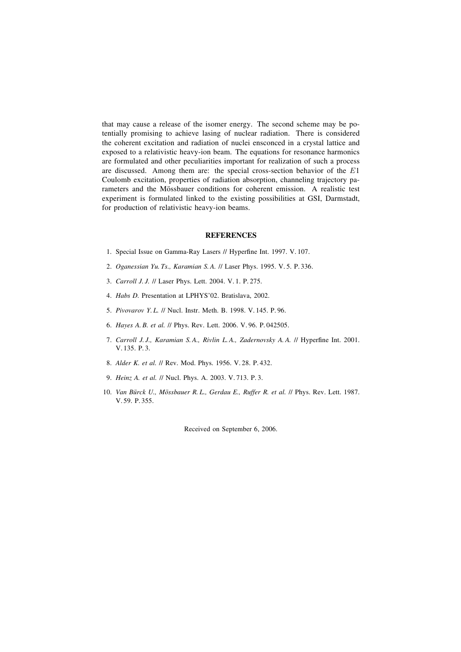that may cause a release of the isomer energy. The second scheme may be potentially promising to achieve lasing of nuclear radiation. There is considered the coherent excitation and radiation of nuclei ensconced in a crystal lattice and exposed to a relativistic heavy-ion beam. The equations for resonance harmonics are formulated and other peculiarities important for realization of such a process are discussed. Among them are: the special cross-section behavior of the  $E1$ Coulomb excitation, properties of radiation absorption, channeling trajectory parameters and the Mössbauer conditions for coherent emission. A realistic test experiment is formulated linked to the existing possibilities at GSI, Darmstadt, for production of relativistic heavy-ion beams.

#### **REFERENCES**

- 1. Special Issue on Gamma-Ray Lasers // Hyperfine Int. 1997. V. 107.
- 2. *Oganessian Yu. Ts., Karamian S. A.* // Laser Phys. 1995. V. 5. P. 336.
- 3. *Carroll J. J.* // Laser Phys. Lett. 2004. V. 1. P. 275.
- 4. *Habs D.* Presentation at LPHYS'02. Bratislava, 2002.
- 5. *Pivovarov Y. L.* // Nucl. Instr. Meth. B. 1998. V. 145. P. 96.
- 6. *Hayes A. B. et al.* // Phys. Rev. Lett. 2006. V. 96. P. 042505.
- 7. *Carroll J.J., Karamian S.A., Rivlin L.A., Zadernovsky A.A. // Hyperfine Int. 2001.* V. 135. P. 3.
- 8. *Alder K. et al.* // Rev. Mod. Phys. 1956. V. 28. P. 432.
- 9. *Heinz A. et al.* // Nucl. Phys. A. 2003. V. 713. P. 3.
- 10. *Van Béurck U., Méossbauer R. L., Gerdau E., Ruffer R. et al.* // Phys. Rev. Lett. 1987. V. 59. P. 355.

Received on September 6, 2006.